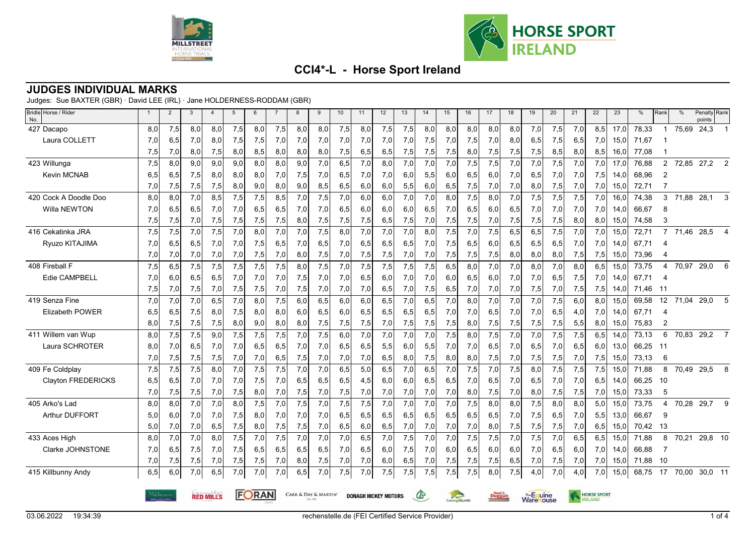



### **JUDGES INDIVIDUAL MARKS**

Judges: Sue BAXTER (GBR) · David LEE (IRL) · Jane HOLDERNESS-RODDAM (GBR)

| Bridle Horse / Rider<br>No. |                                                                 | $\overline{2}$ | 3   | $\overline{4}$ | 5   | 6   |     | 8   | 9   | 10  | 11                          | 12  | 13           | 14  | 15                    | 16            | 17  | 18                              | 19  | 20  | 21                 | 22  | 23   | %     | Rank           | $\frac{0}{0}$ | Penalty Rank<br>points |                |
|-----------------------------|-----------------------------------------------------------------|----------------|-----|----------------|-----|-----|-----|-----|-----|-----|-----------------------------|-----|--------------|-----|-----------------------|---------------|-----|---------------------------------|-----|-----|--------------------|-----|------|-------|----------------|---------------|------------------------|----------------|
| 427 Dacapo                  | 8,0                                                             | 7,5            | 8,0 | 8,0            | 7,5 | 8,0 | 7,5 | 8,0 | 8,0 | 7,5 | 8,0                         | 7,5 | 7,5          | 8,0 | 8,0                   | 8.0           | 8,0 | 8,0                             | 7,0 | 7,5 | 7,0                | 8,5 | 17.0 | 78,33 | -1             | 75,69         | 24,3                   | $\overline{1}$ |
| Laura COLLETT               | 7,0                                                             | 6,5            | 7,0 | 8,0            | 7,5 | 7,5 | 7,0 | 7,0 | 7,0 | 7,0 | 7,0                         | 7,0 | 7,0          | 7,5 | 7,0                   | 7,5           | 7,0 | 8,0                             | 6,5 | 7,5 | 6,5                | 7,0 | 15,0 | 71,67 |                |               |                        |                |
|                             | 7,5                                                             | 7,0            | 8,0 | 7,5            | 8,0 | 8,5 | 8,0 | 8,0 | 8,0 | 7,5 | 6,5                         | 6,5 | 7,5          | 7,5 | 7,5                   | 8,0           | 7,5 | 7,5                             | 7,5 | 8,5 | 8,0                | 8,5 | 16,0 | 77,08 |                |               |                        |                |
| 423 Willunga                | 7,5                                                             | 8,0            | 9.0 | 9,0            | 9,0 | 8,0 | 8,0 | 9,0 | 7,0 | 6,5 | 7,0                         | 8,0 | 7,0          | 7,0 | 7,0                   | 7,5           | 7,5 | 7,0                             | 7,0 | 7,5 | 7,0                | 7,0 | 17.0 | 76,88 | $\overline{2}$ | 72,85         | $27,2$ 2               |                |
| Kevin MCNAB                 | 6,5                                                             | 6,5            | 7,5 | 8,0            | 8,0 | 8,0 | 7,0 | 7,5 | 7,0 | 6,5 | 7,0                         | 7,0 | 6,0          | 5,5 | 6,0                   | 6,5           | 6,0 | 7,0                             | 6,5 | 7,0 | 7,0                | 7,5 | 14,0 | 68,96 | 2              |               |                        |                |
|                             | 7,0                                                             | 7,5            | 7,5 | 7,5            | 8,0 | 9,0 | 8,0 | 9,0 | 8,5 | 6,5 | 6,0                         | 6,0 | 5,5          | 6,0 | 6,5                   | 7,5           | 7,0 | 7,0                             | 8,0 | 7,5 | 7,0                | 7,0 | 15,0 | 72,71 |                |               |                        |                |
| 420 Cock A Doodle Doo       | 8,0                                                             | 8,0            | 7,0 | 8,5            | 7,5 | 7,5 | 8,5 | 7,0 | 7,5 | 7,0 | 6,0                         | 6,0 | 7,0          | 7,0 | 8,0                   | 7,5           | 8,0 | 7,0                             | 7,5 | 7,5 | 7,5                | 7,0 | 16,0 | 74,38 | 3              | 71,88         | 28,1                   | 3              |
| Willa NEWTON                | 7,0                                                             | 6,5            | 6,5 | 7,0            | 7,0 | 6,5 | 6,5 | 7,0 | 7,0 | 6,5 | 6,0                         | 6,0 | 6,0          | 6,5 | 7,0                   | 6,5           | 6,0 | 6,5                             | 7,0 | 7,0 | 7,0                | 7,0 | 14.0 | 66,67 | 8              |               |                        |                |
|                             | 7,5                                                             | 7,5            | 7,0 | 7,5            | 7,5 | 7,5 | 7,5 | 8,0 | 7,5 | 7,5 | 7,5                         | 6,5 | 7,5          | 7,0 | 7,5                   | 7,5           | 7,0 | 7,5                             | 7,5 | 7,5 | 8,0                | 8,0 | 15,0 | 74,58 | 3              |               |                        |                |
| 416 Cekatinka JRA           | 7,5                                                             | 7,5            | 7,0 | 7,5            | 7,0 | 8,0 | 7,0 | 7,0 | 7,5 | 8,0 | 7,0                         | 7,0 | 7,0          | 8,0 | 7,5                   | 7,0           | 7,5 | 6,5                             | 6,5 | 7,5 | 7,0                | 7,0 | 15,0 | 72,71 | $\overline{7}$ |               | 71,46 28,5 4           |                |
| Ryuzo KITAJIMA              | 7,0                                                             | 6,5            | 6.5 | 7,0            | 7,0 | 7,5 | 6,5 | 7,0 | 6,5 | 7,0 | 6,5                         | 6,5 | 6,5          | 7,0 | 7,5                   | 6,5           | 6,0 | 6,5                             | 6,5 | 6,5 | 7,0                | 7,0 | 14.0 | 67,71 | 4              |               |                        |                |
|                             | 7,0                                                             | 7,0            | 7,0 | 7,0            | 7,0 | 7,5 | 7,0 | 8,0 | 7,5 | 7,0 | 7,5                         | 7,5 | 7,0          | 7,0 | 7,5                   | 7,5           | 7,5 | 8,0                             | 8,0 | 8,0 | 7,5                | 7,5 | 15,0 | 73,96 | 4              |               |                        |                |
| 408 Fireball F              | 7,5                                                             | 6,5            | 7,5 | 7,5            | 7,5 | 7,5 | 7,5 | 8,0 | 7,5 | 7,0 | 7,5                         | 7,5 | 7,5          | 7,5 | 6, 5                  | 8,0           | 7,0 | 7,0                             | 8,0 | 7,0 | 8,0                | 6,5 | 15,0 | 73,75 | $\overline{4}$ | 70,97         | 29,0                   | 6              |
| Edie CAMPBELL               | 7,0                                                             | 6,0            | 6,5 | 6,5            | 7,0 | 7,0 | 7,0 | 7,5 | 7,0 | 7,0 | 6,5                         | 6,0 | 7,0          | 7,0 | 6,0                   | 6,5           | 6,0 | 7,0                             | 7,0 | 6,5 | 7,5                | 7,0 | 14.0 | 67,71 | 4              |               |                        |                |
|                             | 7,5                                                             | 7,0            | 7,5 | 7,0            | 7,5 | 7,5 | 7,0 | 7,5 | 7,0 | 7,0 | 7,0                         | 6,5 | 7,0          | 7,5 | 6,5                   | 7,0           | 7,0 | 7,0                             | 7,5 | 7,0 | 7,5                | 7,5 | 14,0 | 71,46 | -11            |               |                        |                |
| 419 Senza Fine              | 7,0                                                             | 7,0            | 7,0 | 6,5            | 7,0 | 8,0 | 7,5 | 6,0 | 6,5 | 6,0 | 6,0                         | 6,5 | 7,0          | 6,5 | 7,0                   | 8,0           | 7,0 | 7,0                             | 7,0 | 7,5 | 6,0                | 8,0 | 15,0 | 69,58 | 12             | 71,04         | 29,0                   | 5              |
| <b>Elizabeth POWER</b>      | 6,5                                                             | 6,5            | 7,5 | 8,0            | 7,5 | 8,0 | 8,0 | 6,0 | 6,5 | 6,0 | 6,5                         | 6,5 | 6,5          | 6,5 | 7,0                   | 7,0           | 6,5 | 7,0                             | 7,0 | 6,5 | 4,0                | 7,0 | 14,0 | 67,71 | 4              |               |                        |                |
|                             | 8,0                                                             | 7,5            | 7,5 | 7,5            | 8,0 | 9,0 | 8,0 | 8,0 | 7,5 | 7,5 | 7,5                         | 7,0 | 7,5          | 7,5 | 7,5                   | 8,0           | 7,5 | 7,5                             | 7,5 | 7,5 | 5,5                | 8,0 | 15,0 | 75,83 | 2              |               |                        |                |
| 411 Willem van Wup          | 8,0                                                             | 7,5            | 7,5 | 9.0            | 7,5 | 7,5 | 7,5 | 7,0 | 7,5 | 6,0 | 7,0                         | 7,0 | 7,0          | 7,0 | 7,5                   | 8.0           | 7,5 | 7,0                             | 7.0 | 7,5 | 7,5                | 6,5 | 14.0 | 73,13 | 6              | 70,83         | 29,2                   | $\overline{7}$ |
| Laura SCHROTER              | 8,0                                                             | 7,0            | 6,5 | 7,0            | 7,0 | 6,5 | 6,5 | 7,0 | 7,0 | 6,5 | 6,5                         | 5,5 | 6,0          | 5,5 | 7,0                   | 7,0           | 6,5 | 7,0                             | 6,5 | 7,0 | 6,5                | 6,0 | 13,0 | 66,25 | -11            |               |                        |                |
|                             | 7,0                                                             | 7,5            | 7,5 | 7,5            | 7,0 | 7,0 | 6,5 | 7,5 | 7,0 | 7,0 | 7,0                         | 6,5 | 8,0          | 7,5 | 8,0                   | 8,0           | 7,5 | 7,0                             | 7,5 | 7,5 | 7,0                | 7,5 | 15,0 | 73,13 | 6              |               |                        |                |
| 409 Fe Coldplay             | 7,5                                                             | 7,5            | 7,5 | 8,0            | 7,0 | 7,5 | 7,5 | 7,0 | 7,0 | 6,5 | 5,0                         | 6,5 | 7,0          | 6,5 | 7,0                   | 7,5           | 7,0 | 7,5                             | 8,0 | 7,5 | 7,5                | 7,5 | 15,0 | 71,88 | 8              |               | 70,49 29,5             | 8              |
| Clayton FREDERICKS          | 6,5                                                             | 6,5            | 7,0 | 7,0            | 7,0 | 7,5 | 7,0 | 6,5 | 6,5 | 6,5 | 4,5                         | 6,0 | 6,0          | 6,5 | 6,5                   | 7,0           | 6,5 | 7,0                             | 6,5 | 7,0 | 7,0                | 6,5 | 14,0 | 66,25 | 10             |               |                        |                |
|                             | 7,0                                                             | 7,5            | 7,5 | 7,0            | 7,5 | 8,0 | 7,0 | 7,5 | 7,0 | 7,5 | 7,0                         | 7,0 | 7,0          | 7,0 | 7,0                   | 8,0           | 7,5 | 7,0                             | 8,0 | 7,5 | 7,5                | 7,0 | 15,0 | 73,33 | 5              |               |                        |                |
| 405 Arko's Lad              | 8,0                                                             | 8,0            | 7,0 | 7,0            | 8,0 | 7,5 | 7,0 | 7,5 | 7,0 | 7,5 | 7,5                         | 7,0 | 7,0          | 7,0 | 7,0                   | 7,5           | 8,0 | 8,0                             | 7,5 | 8,0 | 8,0                | 5,0 | 15,0 | 73,75 | $\overline{4}$ | 70,28         | 29,7                   | 9              |
| <b>Arthur DUFFORT</b>       | 5,0                                                             | 6,0            | 7,0 | 7,0            | 7,5 | 8,0 | 7,0 | 7,0 | 7,0 | 6,5 | 6,5                         | 6,5 | 6,5          | 6,5 | 6,5                   | 6,5           | 6,5 | 7,0                             | 7,5 | 6,5 | 7,0                | 5,5 | 13,0 | 66,67 | 9              |               |                        |                |
|                             | 5,0                                                             | 7,0            | 7,0 | 6,5            | 7,5 | 8,0 | 7,5 | 7,5 | 7,0 | 6,5 | 6,0                         | 6,5 | 7,0          | 7,0 | 7,0                   | 7,0           | 8,0 | 7,5                             | 7,5 | 7,5 | 7,0                | 6,5 | 15,0 | 70,42 | -13            |               |                        |                |
| 433 Aces High               | 8,0                                                             | 7,0            | 7,0 | 8,0            | 7,5 | 7,0 | 7,5 | 7,0 | 7,0 | 7,0 | 6,5                         | 7,0 | 7,5          | 7,0 | 7,0                   | 7,5           | 7,5 | 7,0                             | 7,5 | 7,0 | 6,5                | 6,5 | 15,0 | 71,88 | 8              | 70,21         | 29,8 10                |                |
| Clarke JOHNSTONE            | 7,0                                                             | 6,5            | 7,5 | 7,0            | 7,5 | 6,5 | 6,5 | 6,5 | 6,5 | 7,0 | 6,5                         | 6,0 | 7,5          | 7,0 | 6,0                   | 6,5           | 6,0 | 6,0                             | 7,0 | 6,5 | 6,0                | 7,0 | 14,0 | 66,88 | 7              |               |                        |                |
|                             | 7,0                                                             | 7,5            | 7,5 | 7,0            | 7,5 | 7,5 | 7,0 | 8,0 | 7,5 | 7,0 | 7,0                         | 6,0 | 6,5          | 7,0 | 7,5                   | 7,5           | 7,5 | 6,5                             | 7,0 | 7,5 | 7,0                | 7,0 | 15,0 | 71,88 | 10             |               |                        |                |
| 415 Killbunny Andy          | 6,5                                                             | 6,0            | 7.0 | 6,5            | 7.0 | 7,0 | 7,0 | 6,5 | 7,0 | 7,5 | 7,0                         | 7,5 | 7,5          | 7,5 | 7,5                   | 7,5           | 8,0 | 7,5                             | 4,0 | 7,0 | 4,0                | 7.0 | 15,0 | 68,75 | 17             | 70.00         | 30,0 11                |                |
|                             | FORAN<br>Milløtreet<br>CARR & DAY & MARTIN'<br><b>RED MILLS</b> |                |     |                |     |     |     |     |     |     | <b>DONAGH HICKEY MOTORS</b> |     | $\mathbb{G}$ |     | venting <b>RELAND</b> | <b>Duggan</b> |     | The Equine<br><b>Ware</b> louse |     |     | <b>HORSE SPORT</b> |     |      |       |                |               |                        |                |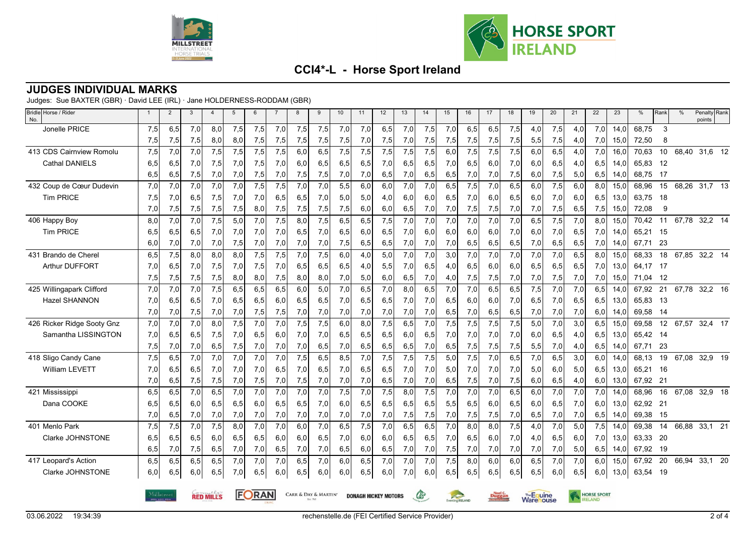



### **JUDGES INDIVIDUAL MARKS**

Judges: Sue BAXTER (GBR) · David LEE (IRL) · Jane HOLDERNESS-RODDAM (GBR)

| Bridle Horse / Rider<br>No. | $\overline{1}$ | $\overline{2}$                                                                                                | 3   | $\overline{4}$ | 5   | 6   | $\overline{7}$   | 8    | 9   | 10  | 11  | 12  | 13  | 14  | 15              | 16            | 17  | 18                             | 19  | 20  | 21                 | 22               | 23   | %     | Rank | $\%$  | Penalty Rank<br>points |  |
|-----------------------------|----------------|---------------------------------------------------------------------------------------------------------------|-----|----------------|-----|-----|------------------|------|-----|-----|-----|-----|-----|-----|-----------------|---------------|-----|--------------------------------|-----|-----|--------------------|------------------|------|-------|------|-------|------------------------|--|
| Jonelle PRICE               | 7,5            | 6,5                                                                                                           | 7,0 | 8,0            | 7,5 | 7,5 | 7,0              | 7,5  | 7,5 | 7,0 | 7,0 | 6,5 | 7,0 | 7,5 | 7,0             | 6,5           | 6,5 | 7,5                            | 4,0 | 7,5 | 4.0                | 7,0              | 14.0 | 68,75 | 3    |       |                        |  |
|                             | 7,5            | 7,5                                                                                                           | 7,5 | 8,0            | 8,0 | 7,5 | 7,5              | 7,5  | 7,5 | 7,5 | 7,0 | 7,5 | 7,0 | 7,5 | 7,5             | 7,5           | 7,5 | 7,5                            | 5,5 | 7,5 | 4,0                | 7,0              | 15,0 | 72,50 | 8    |       |                        |  |
| 413 CDS Cairnview Romolu    | 7,5            | 7,0                                                                                                           | 7,0 | 7,5            | 7,5 | 7,5 | 7,5              | 6,0  | 6,5 | 7,5 | 7,5 | 7,5 | 7,5 | 7,5 | 6,0             | 7,5           | 7,5 | 7,5                            | 6,0 | 6,5 | 4,0                | 7,0              | 16,0 | 70,63 | 10   |       | 68,40 31,6 12          |  |
| <b>Cathal DANIELS</b>       | 6,5            | 6,5                                                                                                           | 7,0 | 7,5            | 7,0 | 7,5 | 7,0              | 6,0  | 6,5 | 6,5 | 6,5 | 7,0 | 6,5 | 6,5 | 7,0             | 6,5           | 6,0 | 7,0                            | 6,0 | 6,5 | 4,0                | 6,5              | 14,0 | 65,83 | 12   |       |                        |  |
|                             | 6,5            | 6,5                                                                                                           | 7,5 | 7,0            | 7,0 | 7,5 | 7,0              | 7,5  | 7,5 | 7,0 | 7,0 | 6,5 | 7,0 | 6,5 | 6,5             | 7,0           | 7,0 | 7,5                            | 6,0 | 7,5 | 5,0                | 6,5              | 14,0 | 68,75 | - 17 |       |                        |  |
| 432 Coup de Cœur Dudevin    | 7,0            | 7,0                                                                                                           | 7,0 | 7,0            | 7,0 | 7,5 | $\overline{7,5}$ | 7,0  | 7,0 | 5,5 | 6,0 | 6,0 | 7,0 | 7,0 | 6,5             | 7,5           | 7,0 | 6,5                            | 6,0 | 7,5 | 6,0                | 8,0              | 15,0 | 68,96 | 15   | 68,26 | $31,7$ 13              |  |
| <b>Tim PRICE</b>            | 7,5            | 7,0                                                                                                           | 6,5 | 7,5            | 7,0 | 7,0 | 6,5              | 6,5  | 7,0 | 5,0 | 5,0 | 4,0 | 6,0 | 6,0 | 6,5             | 7,0           | 6,0 | 6,5                            | 6,0 | 7,0 | 6,0                | 6,5              | 13,0 | 63,75 | 18   |       |                        |  |
|                             | 7,0            | 7,5                                                                                                           | 7,5 | 7,5            | 7,5 | 8,0 | 7,5              | 7,5  | 7,5 | 7,5 | 6,0 | 6,0 | 6,5 | 7,0 | 7,0             | 7,5           | 7,5 | 7,0                            | 7,0 | 7,5 | 6,5                | 7,5              | 15,0 | 72,08 | 9    |       |                        |  |
| 406 Happy Boy               | 8,0            | 7,0                                                                                                           | 7.0 | 7,5            | 5,0 | 7,0 | 7,5              | 8,0  | 7,5 | 6,5 | 6,5 | 7,5 | 7,0 | 7,0 | 7,0             | 7,0           | 7,0 | 7,0                            | 6.5 | 7,5 | 7,0                | 8.0 <sub>l</sub> | 15.0 | 70.42 | 11   |       | 67,78 32,2 14          |  |
| <b>Tim PRICE</b>            | 6,5            | 6,5                                                                                                           | 6,5 | 7,0            | 7,0 | 7,0 | 7,0              | 6,5  | 7,0 | 6,5 | 6,0 | 6,5 | 7,0 | 6,0 | 6,0             | 6,0           | 6,0 | 7,0                            | 6,0 | 7,0 | 6,5                | 7,0              | 14,0 | 65,21 | 15   |       |                        |  |
|                             | 6,0            | 7,0                                                                                                           | 7,0 | 7,0            | 7,5 | 7,0 | 7,0              | 7,0  | 7,0 | 7,5 | 6,5 | 6,5 | 7,0 | 7,0 | 7,0             | 6,5           | 6,5 | 6,5                            | 7,0 | 6,5 | 6,5                | 7,01             | 14,0 | 67,71 | 23   |       |                        |  |
| 431 Brando de Cherel        | 6,5            | 7,5                                                                                                           | 8.0 | 8,0            | 8.0 | 7,5 | 7,5              | 7,0  | 7,5 | 6,0 | 4,0 | 5,0 | 7,0 | 7,0 | 3,0             | 7,0           | 7,0 | 7,0                            | 7,0 | 7,0 | 6.5                | 8.0              | 15.0 | 68,33 | 18   | 67,85 | 32,2 14                |  |
| Arthur DUFFORT              | 7,0            | 6,5                                                                                                           | 7,0 | 7,5            | 7,0 | 7,5 | 7,0              | 6,5  | 6,5 | 6,5 | 4,0 | 5,5 | 7,0 | 6,5 | 4,0             | 6,5           | 6,0 | 6,0                            | 6,5 | 6,5 | 6,5                | 7.01             | 13,0 | 64,17 | - 17 |       |                        |  |
|                             | 7,5            | 7,5                                                                                                           | 7,5 | 7,5            | 8,0 | 8,0 | 7,5              | 8,0  | 8,0 | 7,0 | 5,0 | 6,0 | 6,5 | 7,0 | 4,0             | 7,5           | 7,5 | 7,0                            | 7,0 | 7,5 | 7,0                | 7,0              | 15,0 | 71,04 | 12   |       |                        |  |
| 425 Willingapark Clifford   | 7,0            | 7,0                                                                                                           | 7,0 | 7,5            | 6,5 | 6,5 | 6,5              | 6,0  | 5,0 | 7,0 | 6,5 | 7,0 | 8,0 | 6,5 | 7,0             | 7,0           | 6,5 | 6,5                            | 7,5 | 7,0 | 7,0                | 6.5              | 14,0 | 67,92 | 21   |       | 67,78 32,2 16          |  |
| <b>Hazel SHANNON</b>        | 7,0            | 6,5                                                                                                           | 6,5 | 7,0            | 6,5 | 6,5 | 6,0              | 6,5  | 6,5 | 7,0 | 6,5 | 6,5 | 7,0 | 7,0 | 6,5             | 6,0           | 6,0 | 7,0                            | 6,5 | 7,0 | 6,5                | 6,5              | 13,0 | 65,83 | - 13 |       |                        |  |
|                             | 7,0            | 7,0                                                                                                           | 7,5 | 7,0            | 7,0 | 7,5 | 7,5              | 7,0  | 7,0 | 7,0 | 7,0 | 7,0 | 7,0 | 7,0 | 6,5             | 7,0           | 6,5 | 6,5                            | 7,0 | 7,0 | 7,0                | 6,0              | 14,0 | 69,58 | -14  |       |                        |  |
| 426 Ricker Ridge Sooty Gnz  | 7,0            | 7,0                                                                                                           | 7,0 | 8,0            | 7,5 | 7,0 | 7,0              | 7,5  | 7,5 | 6,0 | 8,0 | 7,5 | 6,5 | 7,0 | 7,5             | 7,5           | 7,5 | 7,5                            | 5.0 | 7,0 | 3,0                | 6.5              | 15.0 | 69,58 | 12   | 67,57 | 32,4 17                |  |
| Samantha LISSINGTON         | 7,0            | 6,5                                                                                                           | 6,5 | 7,5            | 7,0 | 6,5 | 6,0              | 7,0  | 7,0 | 6,5 | 6,5 | 6,5 | 6,0 | 6,5 | 7,0             | 7,0           | 7,0 | 7,0                            | 6,0 | 6,5 | 4,0                | 6,5              | 13,0 | 65,42 | - 14 |       |                        |  |
|                             | 7,5            | 7,0                                                                                                           | 7,0 | 6,5            | 7,5 | 7,0 | 7,0              | 7,0  | 6,5 | 7,0 | 6,5 | 6,5 | 6,5 | 7,0 | 6,5             | 7,5           | 7,5 | 7,5                            | 5,5 | 7,0 | 4,0                | 6,5              | 14,0 | 67,71 | 23   |       |                        |  |
| 418 Sligo Candy Cane        | 7,5            | 6,5                                                                                                           | 7,0 | 7,0            | 7,0 | 7,0 | 7,0              | 7,5  | 6,5 | 8,5 | 7,0 | 7,5 | 7,5 | 7,5 | 5,0             | 7,5           | 7,0 | 6,5                            | 7,0 | 6,5 | 3,0                | 6.0              | 14.0 | 68,13 | 19   | 67,08 | 32,9 19                |  |
| <b>William LEVETT</b>       | 7,0            | 6,5                                                                                                           | 6,5 | 7,0            | 7,0 | 7,0 | 6,5              | 7,0  | 6,5 | 7,0 | 6,5 | 6,5 | 7,0 | 7,0 | 5,0             | 7,0           | 7,0 | 7,0                            | 5.0 | 6.0 | 5.0                | 6,5              | 13,0 | 65,21 | - 16 |       |                        |  |
|                             | 7,0            | 6,5                                                                                                           | 7,5 | 7,5            | 7,0 | 7,5 | 7,0              | 7,5  | 7,0 | 7,0 | 7,0 | 6,5 | 7,0 | 7,0 | 6,5             | 7,5           | 7,0 | 7,5                            | 6,0 | 6,5 | 4,0                | 6,0              | 13,0 | 67,92 | 21   |       |                        |  |
| 421 Mississippi             | 6,5            | 6,5                                                                                                           | 7,0 | 6,5            | 7,0 | 7,0 | 7,0              | 7,0  | 7,0 | 7,5 | 7,0 | 7,5 | 8,0 | 7,5 | 7,0             | 7,0           | 7,0 | 6,5                            | 6,0 | 7,0 | 7,0                | 7,0              | 14.0 | 68,96 | 16   | 67,08 | 32,9 18                |  |
| Dana COOKE                  | 6.5            | 6,5                                                                                                           | 6,0 | 6,5            | 6.5 | 6,0 | 6,5              | 6,5  | 7,0 | 6,0 | 6,5 | 6,5 | 6,5 | 6,5 | 5,5             | 6,5           | 6,0 | 6,5                            | 6,0 | 6.5 | 7,0                | 6,0              | 13.0 | 62,92 | 21   |       |                        |  |
|                             | 7,0            | 6,5                                                                                                           | 7,0 | 7,0            | 7,0 | 7,0 | 7,0              | 7,0  | 7,0 | 7,0 | 7,0 | 7,0 | 7,5 | 7,5 | 7,0             | 7,5           | 7,5 | 7,0                            | 6,5 | 7,0 | 7,0                | 6,5              | 14,0 | 69,38 | 15   |       |                        |  |
| 401 Menlo Park              | 7,5            | 7,5                                                                                                           | 7,0 | 7,5            | 8,0 | 7,0 | 7,0              | 6,0  | 7,0 | 6,5 | 7,5 | 7,0 | 6,5 | 6,5 | 7,0             | 8,0           | 8,0 | 7,5                            | 4,0 | 7,0 | 5,0                | 7,5              | 14,0 | 69,38 | 14   | 66,88 | $33,1$ 21              |  |
| Clarke JOHNSTONE            | 6,5            | 6,5                                                                                                           | 6,5 | 6,0            | 6,5 | 6,5 | 6,0              | 6,0  | 6,5 | 7,0 | 6,0 | 6,0 | 6,5 | 6,5 | 7,0             | 6,5           | 6,0 | 7,0                            | 4,0 | 6,5 | 6.0                | 7,0              | 13,0 | 63,33 | - 20 |       |                        |  |
|                             | 6,5            | 7,0                                                                                                           | 7,5 | 6,5            | 7,0 | 7,0 | 6,5              | 7,0  | 7,0 | 6,5 | 6,0 | 6,5 | 7,0 | 7,0 | 7,5             | 7,0           | 7,0 | 7,0                            | 7,0 | 7,0 | 5,0                | 6,5              | 14,0 | 67,92 | 19   |       |                        |  |
| 417 Leopard's Action        | 6, 5           | 6,5                                                                                                           | 6,5 | 6,5            | 7,0 | 7,0 | 7,0              | 6, 5 | 7,0 | 6,0 | 6,5 | 7,0 | 7,0 | 7,0 | 7,5             | 8,0           | 6,0 | 6,0                            | 6,5 | 7,0 | 7,0                | 6,0              | 15,0 | 67,92 | 20   | 66,94 | 33,1 20                |  |
| Clarke JOHNSTONE            | 6,0            | 6,5                                                                                                           | 6,0 | 6,5            | 7,0 | 6,5 | 6,0              | 6,5  | 6,0 | 6,0 | 6,5 | 6,0 | 7,0 | 6,0 | 6,5             | 6,5           | 6,5 | 6,5                            | 6,5 | 6,0 | 6,5                | 6,0              | 13,0 | 63,54 | - 19 |       |                        |  |
|                             |                | FORAN<br><b>RED MILLS</b><br><b>CARR &amp; DAY &amp; MARTIN'</b><br>Milløtreet<br><b>DONAGH HICKEY MOTORS</b> |     |                |     |     |                  |      |     |     |     |     | G   |     | Eventing RELAND | <b>Duggan</b> |     | The Equine<br><b>Ware</b> ouse |     |     | <b>HORSE SPORT</b> |                  |      |       |      |       |                        |  |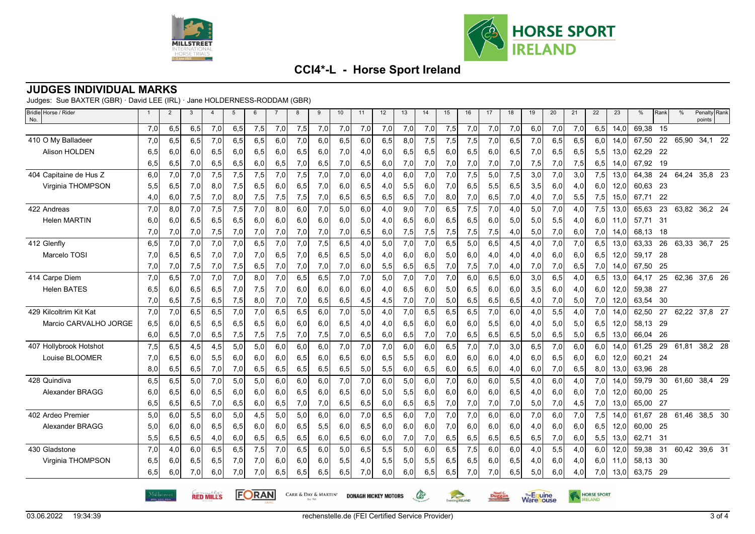



#### **JUDGES INDIVIDUAL MARKS**

Judges: Sue BAXTER (GBR) · David LEE (IRL) · Jane HOLDERNESS-RODDAM (GBR)

| Bridle Horse / Rider<br>No. | $\overline{1}$ | $\overline{2}$ | 3   | $\overline{4}$                                                                          | $5\phantom{.0}$ | 6   | $\overline{7}$ | 8   | 9   | 10  | 11  | 12  | 13  | 14              | 15  | 16     | 17  | 18                             | 19  | 20  | 21                 | 22  | 23   | %     | Rank | $\frac{0}{0}$ | Penalty Rank<br>points |
|-----------------------------|----------------|----------------|-----|-----------------------------------------------------------------------------------------|-----------------|-----|----------------|-----|-----|-----|-----|-----|-----|-----------------|-----|--------|-----|--------------------------------|-----|-----|--------------------|-----|------|-------|------|---------------|------------------------|
|                             | 7,0            | 6,5            | 6,5 | 7,0                                                                                     | 6,5             | 7,5 | 7,0            | 7,5 | 7,0 | 7,0 | 7,0 | 7,0 | 7,0 | 7,0             | 7,5 | 7,0    | 7,0 | 7,0                            | 6,0 | 7,0 | 7,0                | 6,5 | 14,0 | 69,38 | 15   |               |                        |
| 410 O My Balladeer          | 7,0            | 6,5            | 6,5 | 7,0                                                                                     | 6,5             | 6,5 | 6,0            | 7,0 | 6,0 | 6,5 | 6,0 | 6,5 | 8,0 | 7,5             | 7,5 | 7,5    | 7,0 | 6,5                            | 7,0 | 6,5 | 6,5                | 6.0 | 14.0 | 67,50 | 22   | 65,90         | 34,1 22                |
| Alison HOLDEN               | 6,5            | 6,0            | 6,0 | 6,5                                                                                     | 6,0             | 6,5 | 6,0            | 6,5 | 6,0 | 7,0 | 4,0 | 6,0 | 6,5 | 6,5             | 6,0 | 6,5    | 6,0 | 6,5                            | 7,0 | 6,5 | 6,5                | 5,5 | 13,0 | 62,29 | 22   |               |                        |
|                             | 6,5            | 6,5            | 7,0 | 6,5                                                                                     | 6,5             | 6,0 | 6,5            | 7,0 | 6,5 | 7,0 | 6,5 | 6,0 | 7,0 | 7,0             | 7,0 | 7,0    | 7,0 | 7,0                            | 7,5 | 7,0 | 7,5                | 6,5 | 14,0 | 67,92 | 19   |               |                        |
| 404 Capitaine de Hus Z      | 6,0            | 7,0            | 7.0 | 7,5                                                                                     | 7,5             | 7,5 | 7,0            | 7,5 | 7,0 | 7,0 | 6.0 | 4,0 | 6,0 | 7,0             | 7,0 | 7,5    | 5,0 | 7.5                            | 3,0 | 7,0 | 3,0                | 7,5 | 13,0 | 64,38 | 24   | 64,24         | 35,8 23                |
| Virginia THOMPSON           | 5,5            | 6,5            | 7,0 | 8,0                                                                                     | 7,5             | 6,5 | 6,0            | 6,5 | 7,0 | 6,0 | 6,5 | 4,0 | 5,5 | 6,0             | 7,0 | 6,5    | 5,5 | 6,5                            | 3,5 | 6,0 | 4,0                | 6,0 | 12,0 | 60,63 | -23  |               |                        |
|                             | 4,0            | 6,0            | 7,5 | 7,0                                                                                     | 8,0             | 7,5 | 7,5            | 7,5 | 7,0 | 6,5 | 6,5 | 6,5 | 6,5 | 7,0             | 8,0 | 7,0    | 6,5 | 7,0                            | 4,0 | 7,0 | 5,5                | 7,5 | 15,0 | 67,71 | 22   |               |                        |
| 422 Andreas                 | 7,0            | 8,0            | 7,0 | 7,5                                                                                     | 7,5             | 7,0 | 8,0            | 6,0 | 7,0 | 5,0 | 6,0 | 4,0 | 9,0 | 7,0             | 6,5 | 7,5    | 7,0 | 4,0                            | 5,0 | 7,0 | 4,0                | 7.5 | 13.0 | 65,63 | 23   |               | 63,82 36,2 24          |
| <b>Helen MARTIN</b>         | 6,0            | 6,0            | 6,5 | 6,5                                                                                     | 6,5             | 6,0 | 6,0            | 6,0 | 6,0 | 6,0 | 5,0 | 4,0 | 6,5 | 6,0             | 6,5 | 6,5    | 6,0 | 5,0                            | 5,0 | 5,5 | 4,0                | 6,0 | 11.0 | 57.71 | -31  |               |                        |
|                             | 7,0            | 7,0            | 7,0 | 7,5                                                                                     | 7,0             | 7,0 | 7,0            | 7,0 | 7,0 | 7,0 | 6,5 | 6,0 | 7,5 | 7,5             | 7,5 | 7,5    | 7,5 | 4,0                            | 5,0 | 7,0 | 6,0                | 7,0 | 14,0 | 68,13 | 18   |               |                        |
| 412 Glenfly                 | 6,5            | 7,0            | 7.0 | 7,0                                                                                     | 7,0             | 6,5 | 7,0            | 7,0 | 7,5 | 6,5 | 4,0 | 5,0 | 7,0 | 7,0             | 6.5 | 5,0    | 6,5 | 4,5                            | 4,0 | 7,0 | 7,0                | 6,5 | 13,0 | 63,33 | 26   | 63,33         | 36,7 25                |
| Marcelo TOSI                | 7,0            | 6,5            | 6,5 | 7,0                                                                                     | 7,0             | 7,0 | 6,5            | 7,0 | 6,5 | 6,5 | 5,0 | 4,0 | 6,0 | 6,0             | 5,0 | 6,0    | 4,0 | 4,0                            | 4,0 | 6,0 | 6,0                | 6,5 | 12,0 | 59,17 | 28   |               |                        |
|                             | 7,0            | 7,0            | 7,5 | 7,0                                                                                     | 7,5             | 6,5 | 7,0            | 7,0 | 7,0 | 7,0 | 6,0 | 5,5 | 6,5 | 6,5             | 7,0 | 7,5    | 7,0 | 4,0                            | 7,0 | 7,0 | 6,5                | 7,0 | 14,0 | 67,50 | -25  |               |                        |
| 414 Carpe Diem              | 7,0            | 6,5            | 7,0 | 7,0                                                                                     | 7,0             | 8,0 | 7,0            | 6,5 | 6,5 | 7,0 | 7,0 | 5,0 | 7,0 | 7,0             | 7,0 | 6,0    | 6,5 | 6,0                            | 3,0 | 6,5 | 4,0                | 6,5 | 13,0 | 64,17 | 25   | 62,36         | 37,6 26                |
| <b>Helen BATES</b>          | 6,5            | 6.0            | 6,5 | 6,5                                                                                     | 7,0             | 7,5 | 7,0            | 6,0 | 6,0 | 6,0 | 6,0 | 4,0 | 6,5 | 6,0             | 5,0 | 6,5    | 6.0 | 6.0                            | 3,5 | 6,0 | 4,0                | 6,0 | 12,0 | 59,38 | - 27 |               |                        |
|                             | 7,0            | 6,5            | 7,5 | 6,5                                                                                     | 7,5             | 8,0 | 7,0            | 7,0 | 6,5 | 6,5 | 4,5 | 4,5 | 7,0 | 7,0             | 5,0 | 6,5    | 6,5 | 6,5                            | 4,0 | 7,0 | 5,0                | 7,0 | 12,0 | 63,54 | - 30 |               |                        |
| 429 Kilcoltrim Kit Kat      | 7,0            | 7,0            | 6,5 | 6,5                                                                                     | 7,0             | 7,0 | 6,5            | 6,5 | 6,0 | 7,0 | 5,0 | 4,0 | 7,0 | 6,5             | 6,5 | 6,5    | 7,0 | 6,0                            | 4,0 | 5,5 | 4,0                | 7,0 | 14,0 | 62,50 | 27   | 62,22         | 37,8 27                |
| Marcio CARVALHO JORGE       | 6,5            | 6,0            | 6,5 | 6,5                                                                                     | 6,5             | 6,5 | 6,0            | 6,0 | 6,0 | 6,5 | 4,0 | 4,0 | 6,5 | 6,0             | 6,0 | 6,0    | 5,5 | 6,0                            | 4,0 | 5,0 | 5,0                | 6,5 | 12,0 | 58,13 | -29  |               |                        |
|                             | 6,0            | 6,5            | 7,0 | 6,5                                                                                     | 7,5             | 7,5 | 7,5            | 7,0 | 7,5 | 7,0 | 6,5 | 6,0 | 6,5 | 7,0             | 7,0 | 6,5    | 6,5 | 6,5                            | 5,0 | 6,5 | 5,0                | 6,5 | 13,0 | 66,04 | 26   |               |                        |
| 407 Hollybrook Hotshot      | 7,5            | 6,5            | 4,5 | 4,5                                                                                     | 5,0             | 5,0 | 6,0            | 6,0 | 6,0 | 7,0 | 7,0 | 7,0 | 6,0 | 6,0             | 6,5 | 7,0    | 7,0 | 3,0                            | 6,5 | 7,0 | 6,0                | 6.0 | 14.0 | 61,25 | 29   | 61,81         | 38,2 28                |
| Louise BLOOMER              | 7,0            | 6,5            | 6,0 | 5,5                                                                                     | 6,0             | 6,0 | 6,0            | 6,5 | 6,0 | 6,5 | 6,0 | 6,5 | 5,5 | 6,0             | 6,0 | 6,0    | 6,0 | 4,0                            | 6.0 | 6,5 | 6,0                | 6,0 | 12,0 | 60,21 | 24   |               |                        |
|                             | 8,0            | 6,5            | 6,5 | 7,0                                                                                     | 7,0             | 6,5 | 6,5            | 6,5 | 6,5 | 6,5 | 5,0 | 5,5 | 6,0 | 6,5             | 6,0 | 6,5    | 6,0 | 4,0                            | 6,0 | 7,0 | 6,5                | 8,0 | 13,0 | 63,96 | 28   |               |                        |
| 428 Quindiva                | 6,5            | 6,5            | 5,0 | 7,0                                                                                     | 5,0             | 5,0 | 6,0            | 6,0 | 6,0 | 7,0 | 7,0 | 6,0 | 5,0 | 6,0             | 7,0 | 6,0    | 6,0 | 5,5                            | 4,0 | 6,0 | 4,0                | 7,0 | 14,0 | 59,79 | 30   | 61,60         | 38,4 29                |
| Alexander BRAGG             | 6,0            | 6,5            | 6,0 | 6,5                                                                                     | 6,0             | 6,0 | 6,0            | 6,5 | 6,0 | 6,5 | 6,0 | 5,0 | 5,5 | 6,0             | 6,0 | 6,0    | 6,0 | 6,5                            | 4,0 | 6,0 | 6,0                | 7,0 | 12,0 | 60,00 | 25   |               |                        |
|                             | 6,5            | 6,5            | 6,5 | 7,0                                                                                     | 6,5             | 6,0 | 6,5            | 7,0 | 7,0 | 6,5 | 6,5 | 6,0 | 6,5 | 6,5             | 7,0 | 7,0    | 7,0 | 7,0                            | 5,0 | 7,0 | 4,5                | 7,0 | 13,0 | 65,00 | -27  |               |                        |
| 402 Ardeo Premier           | 5,0            | 6,0            | 5,5 | 6,0                                                                                     | 5,0             | 4,5 | 5,0            | 5,0 | 6,0 | 6,0 | 7,0 | 6,5 | 6,0 | 7,0             | 7,0 | 7,0    | 6,0 | 6,0                            | 7,0 | 6,0 | 7,0                | 7,5 | 14,0 | 61,67 | 28   | 61,46         | 38,5 30                |
| Alexander BRAGG             | 5,0            | 6,0            | 6,0 | 6,5                                                                                     | 6,5             | 6,0 | 6,0            | 6,5 | 5,5 | 6,0 | 6,5 | 6,0 | 6,0 | 6,0             | 7,0 | 6,0    | 6,0 | 6,0                            | 4,0 | 6,0 | 6,0                | 6,5 | 12,0 | 60,00 | 25   |               |                        |
|                             | 5,5            | 6,5            | 6,5 | 4,0                                                                                     | 6,0             | 6,5 | 6,5            | 6,5 | 6,0 | 6,5 | 6,0 | 6,0 | 7,0 | 7,0             | 6,5 | 6,5    | 6,5 | 6,5                            | 6,5 | 7,0 | 6,0                | 5,5 | 13,0 | 62,71 | 31   |               |                        |
| 430 Gladstone               | 7,0            | 4,0            | 6,0 | 6,5                                                                                     | 6,5             | 7,5 | 7,0            | 6,5 | 6,0 | 5,0 | 6,5 | 5,5 | 5,0 | 6,0             | 6,5 | 7,5    | 6,0 | 6,0                            | 4,0 | 5,5 | 4,0                | 6,0 | 12,0 | 59,38 | 31   | 60,42         | 39,6 31                |
| Virginia THOMPSON           | 6,5            | 6,0            | 6,5 | 6,5                                                                                     | 7,0             | 7,0 | 6,0            | 6,0 | 6,0 | 5,5 | 4,0 | 5,5 | 5,0 | 5,5             | 6,5 | 6,5    | 6,0 | 6,5                            | 4,0 | 6,0 | 4,0                | 6,0 | 11,0 | 58,13 | - 30 |               |                        |
|                             | 6.5            | 6,0            | 7,0 | 6,0                                                                                     | 7,0             | 7,0 | 6,5            | 6,5 | 6,5 | 6,5 | 7,0 | 6,0 | 6,0 | 6,5             | 6,5 | 7,0    | 7,0 | 6,5                            | 5,0 | 6,0 | 4,0                | 7,0 | 13,0 | 63,75 | - 29 |               |                        |
|                             |                | Milløtreet     |     | <b>FORAN</b><br><b>RED MILLS</b><br>CARR & DAY & MARTIN'<br><b>DONAGH HICKEY MOTORS</b> |                 |     |                |     |     |     |     |     | G   | Eventing RELAND |     | Duggan |     | <b>The Equine</b><br>Warehouse |     |     | <b>HORSE SPORT</b> |     |      |       |      |               |                        |